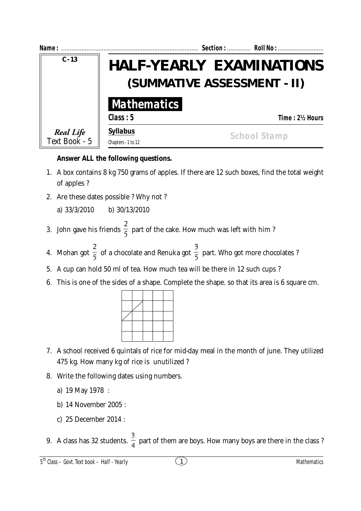

## **Answer ALL the following questions.**

- 1. A box contains 8 kg 750 grams of apples. If there are 12 such boxes, find the total weight of apples ?
- 2. Are these dates possible ? Why not ?

a) 33/3/2010 b) 30/13/2010

- 3. John gave his friends  $\frac{1}{5}$  $\frac{2}{5}$  part of the cake. How much was left with him ?
- 4. Mohan got  $\frac{1}{5}$  $\frac{2}{5}$  of a chocolate and Renuka got  $\frac{3}{5}$ 3 part. Who got more chocolates ?
- 5. A cup can hold 50 ml of tea. How much tea will be there in 12 such cups ?
- 6. This is one of the sides of a shape. Complete the shape. so that its area is 6 square cm.



- 7. A school received 6 quintals of rice for mid-day meal in the month of june. They utilized 475 kg. How many kg of rice is unutilized ?
- 8. Write the following dates using numbers.
	- a) 19 May 1978 :
	- b) 14 November 2005 :
	- c) 25 December 2014 :
- 9. A class has 32 students.  $\frac{3}{4}$  part of them are boys. How many boys are there in the class ?